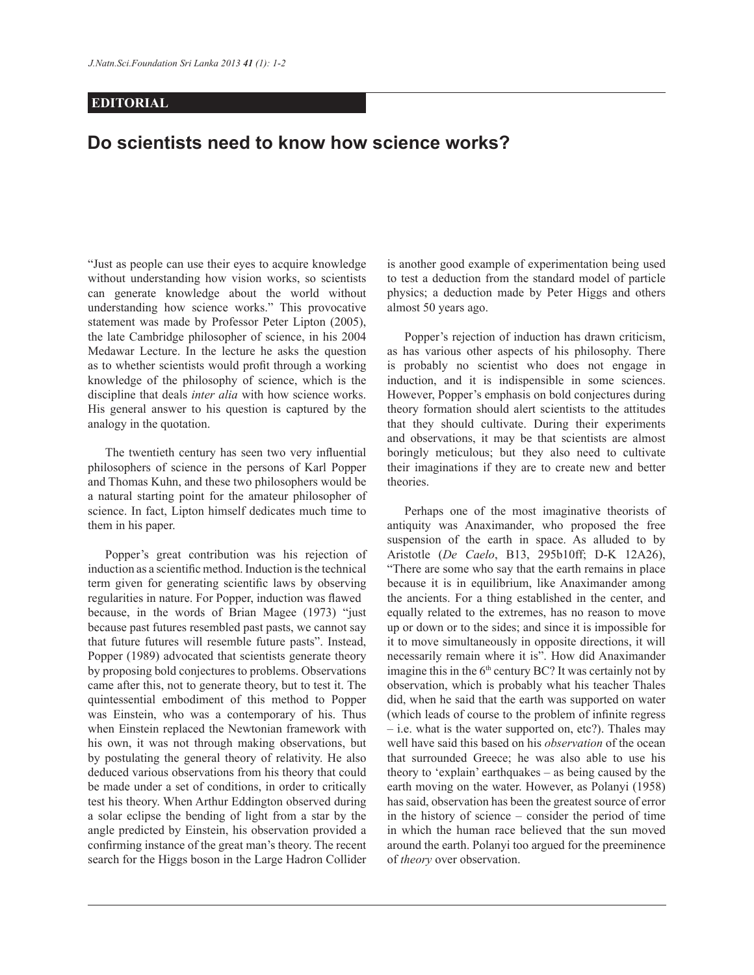## **EDITORIAL**

## **Do scientists need to know how science works?**

"Just as people can use their eyes to acquire knowledge without understanding how vision works, so scientists can generate knowledge about the world without understanding how science works." This provocative statement was made by Professor Peter Lipton (2005), the late Cambridge philosopher of science, in his 2004 Medawar Lecture. In the lecture he asks the question as to whether scientists would profit through a working knowledge of the philosophy of science, which is the discipline that deals *inter alia* with how science works. His general answer to his question is captured by the analogy in the quotation.

The twentieth century has seen two very influential philosophers of science in the persons of Karl Popper and Thomas Kuhn, and these two philosophers would be a natural starting point for the amateur philosopher of science. In fact, Lipton himself dedicates much time to them in his paper.

 Popper's great contribution was his rejection of induction as a scientific method. Induction is the technical term given for generating scientific laws by observing regularities in nature. For Popper, induction was flawed because, in the words of Brian Magee (1973) "just because past futures resembled past pasts, we cannot say that future futures will resemble future pasts". Instead, Popper (1989) advocated that scientists generate theory by proposing bold conjectures to problems. Observations came after this, not to generate theory, but to test it. The quintessential embodiment of this method to Popper was Einstein, who was a contemporary of his. Thus when Einstein replaced the Newtonian framework with his own, it was not through making observations, but by postulating the general theory of relativity. He also deduced various observations from his theory that could be made under a set of conditions, in order to critically test his theory. When Arthur Eddington observed during a solar eclipse the bending of light from a star by the angle predicted by Einstein, his observation provided a confirming instance of the great man's theory. The recent search for the Higgs boson in the Large Hadron Collider

is another good example of experimentation being used to test a deduction from the standard model of particle physics; a deduction made by Peter Higgs and others almost 50 years ago.

 Popper's rejection of induction has drawn criticism, as has various other aspects of his philosophy. There is probably no scientist who does not engage in induction, and it is indispensible in some sciences. However, Popper's emphasis on bold conjectures during theory formation should alert scientists to the attitudes that they should cultivate. During their experiments and observations, it may be that scientists are almost boringly meticulous; but they also need to cultivate their imaginations if they are to create new and better theories.

 Perhaps one of the most imaginative theorists of antiquity was Anaximander, who proposed the free suspension of the earth in space. As alluded to by Aristotle (*De Caelo*, B13, 295b10ff; D-K 12A26), "There are some who say that the earth remains in place because it is in equilibrium, like Anaximander among the ancients. For a thing established in the center, and equally related to the extremes, has no reason to move up or down or to the sides; and since it is impossible for it to move simultaneously in opposite directions, it will necessarily remain where it is". How did Anaximander imagine this in the  $6<sup>th</sup>$  century BC? It was certainly not by observation, which is probably what his teacher Thales did, when he said that the earth was supported on water (which leads of course to the problem of infinite regress – i.e. what is the water supported on, etc?). Thales may well have said this based on his *observation* of the ocean that surrounded Greece; he was also able to use his theory to 'explain' earthquakes – as being caused by the earth moving on the water. However, as Polanyi (1958) has said, observation has been the greatest source of error in the history of science – consider the period of time in which the human race believed that the sun moved around the earth. Polanyi too argued for the preeminence of *theory* over observation.